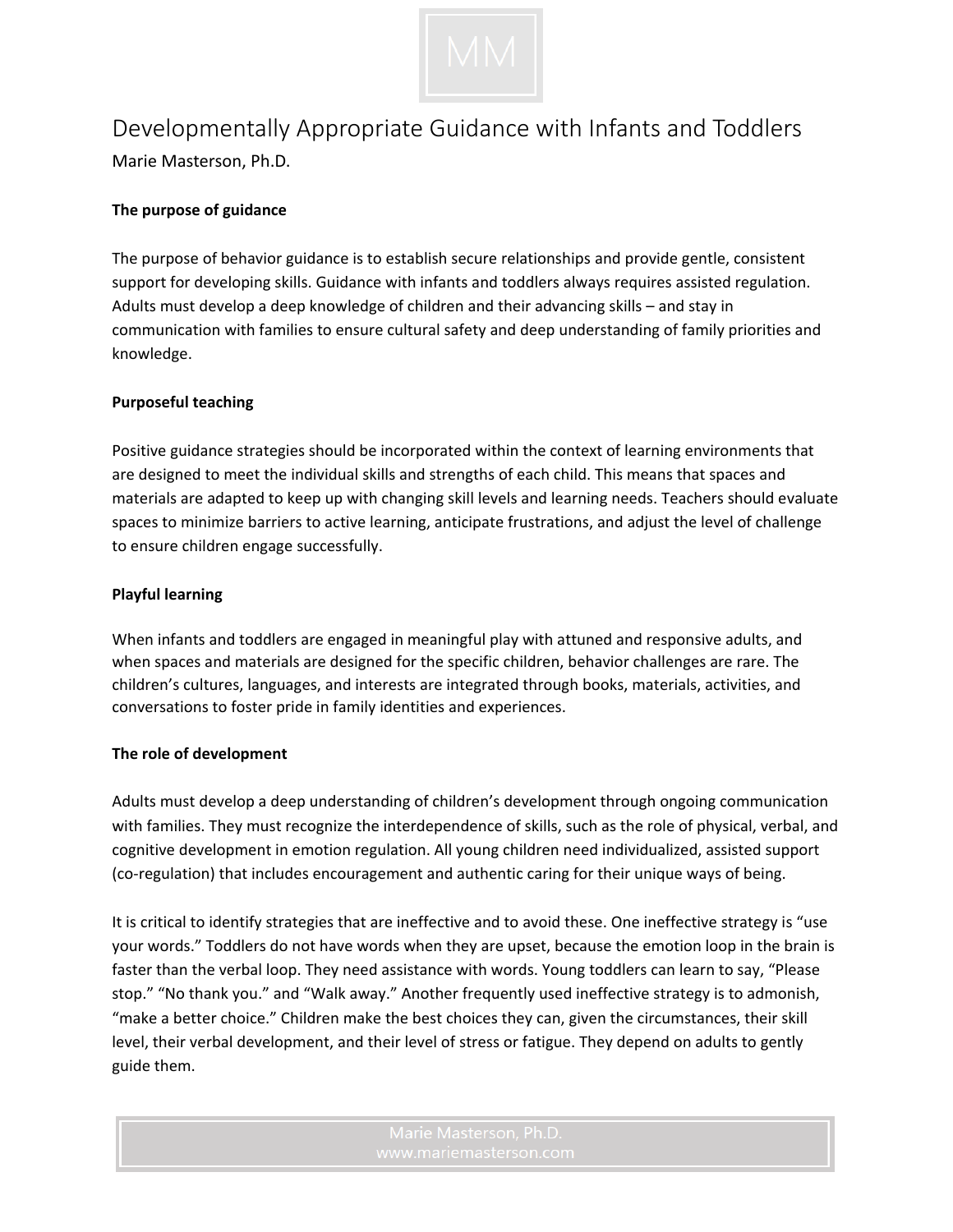

# Developmentally Appropriate Guidance with Infants and Toddlers

Marie Masterson, Ph.D.

# **The purpose of guidance**

The purpose of behavior guidance is to establish secure relationships and provide gentle, consistent support for developing skills. Guidance with infants and toddlers always requires assisted regulation. Adults must develop a deep knowledge of children and their advancing skills – and stay in communication with families to ensure cultural safety and deep understanding of family priorities and knowledge.

## **Purposeful teaching**

Positive guidance strategies should be incorporated within the context of learning environments that are designed to meet the individual skills and strengths of each child. This means that spaces and materials are adapted to keep up with changing skill levels and learning needs. Teachers should evaluate spaces to minimize barriers to active learning, anticipate frustrations, and adjust the level of challenge to ensure children engage successfully.

## **Playful learning**

When infants and toddlers are engaged in meaningful play with attuned and responsive adults, and when spaces and materials are designed for the specific children, behavior challenges are rare. The children's cultures, languages, and interests are integrated through books, materials, activities, and conversations to foster pride in family identities and experiences.

## **The role of development**

Adults must develop a deep understanding of children's development through ongoing communication with families. They must recognize the interdependence of skills, such as the role of physical, verbal, and cognitive development in emotion regulation. All young children need individualized, assisted support (co-regulation) that includes encouragement and authentic caring for their unique ways of being.

It is critical to identify strategies that are ineffective and to avoid these. One ineffective strategy is "use your words." Toddlers do not have words when they are upset, because the emotion loop in the brain is faster than the verbal loop. They need assistance with words. Young toddlers can learn to say, "Please stop." "No thank you." and "Walk away." Another frequently used ineffective strategy is to admonish, "make a better choice." Children make the best choices they can, given the circumstances, their skill level, their verbal development, and their level of stress or fatigue. They depend on adults to gently guide them.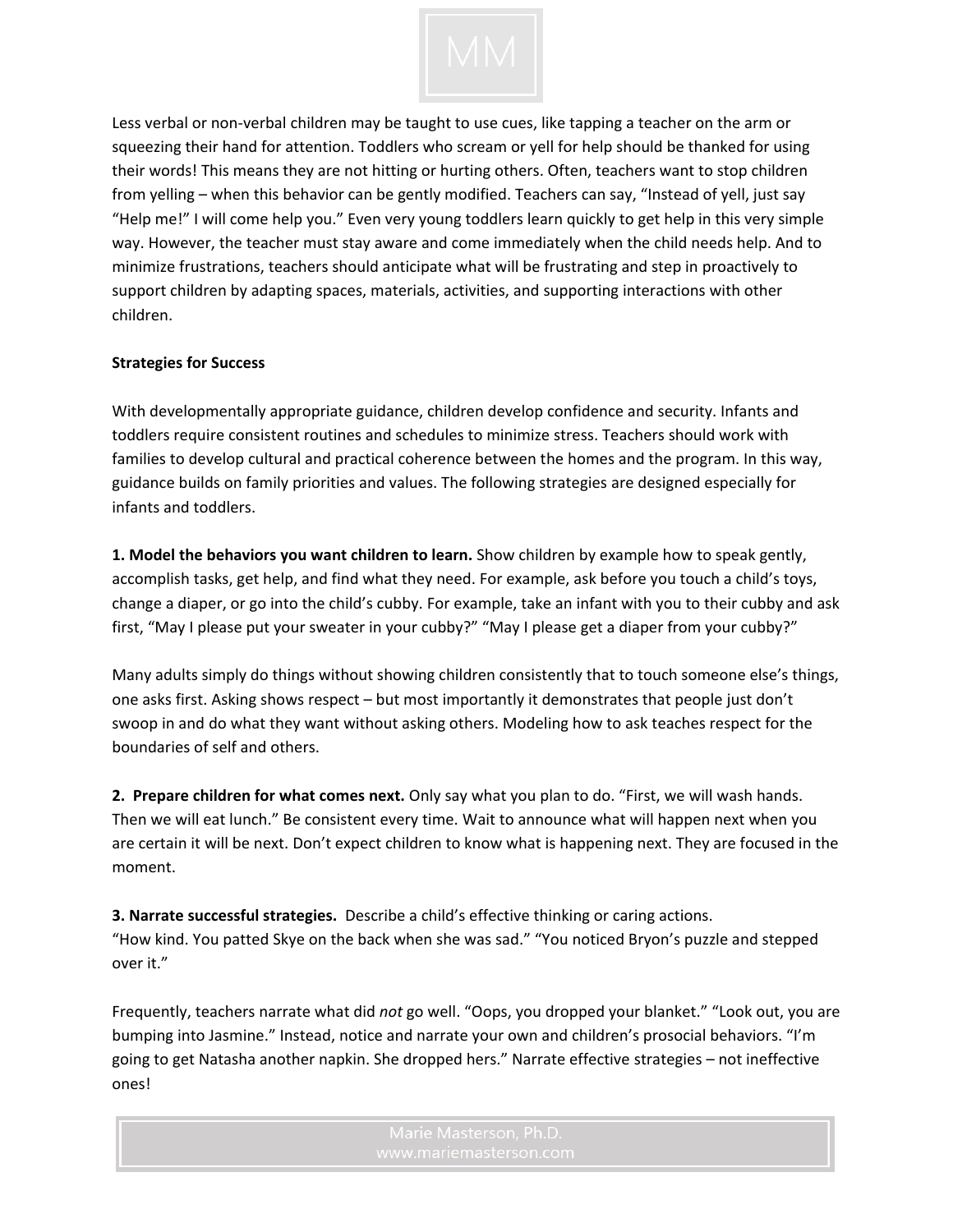

Less verbal or non-verbal children may be taught to use cues, like tapping a teacher on the arm or squeezing their hand for attention. Toddlers who scream or yell for help should be thanked for using their words! This means they are not hitting or hurting others. Often, teachers want to stop children from yelling – when this behavior can be gently modified. Teachers can say, "Instead of yell, just say "Help me!" I will come help you." Even very young toddlers learn quickly to get help in this very simple way. However, the teacher must stay aware and come immediately when the child needs help. And to minimize frustrations, teachers should anticipate what will be frustrating and step in proactively to support children by adapting spaces, materials, activities, and supporting interactions with other children.

#### **Strategies for Success**

With developmentally appropriate guidance, children develop confidence and security. Infants and toddlers require consistent routines and schedules to minimize stress. Teachers should work with families to develop cultural and practical coherence between the homes and the program. In this way, guidance builds on family priorities and values. The following strategies are designed especially for infants and toddlers.

**1. Model the behaviors you want children to learn.** Show children by example how to speak gently, accomplish tasks, get help, and find what they need. For example, ask before you touch a child's toys, change a diaper, or go into the child's cubby. For example, take an infant with you to their cubby and ask first, "May I please put your sweater in your cubby?" "May I please get a diaper from your cubby?"

Many adults simply do things without showing children consistently that to touch someone else's things, one asks first. Asking shows respect – but most importantly it demonstrates that people just don't swoop in and do what they want without asking others. Modeling how to ask teaches respect for the boundaries of self and others.

**2. Prepare children for what comes next.** Only say what you plan to do. "First, we will wash hands. Then we will eat lunch." Be consistent every time. Wait to announce what will happen next when you are certain it will be next. Don't expect children to know what is happening next. They are focused in the moment.

**3. Narrate successful strategies.** Describe a child's effective thinking or caring actions. "How kind. You patted Skye on the back when she was sad." "You noticed Bryon's puzzle and stepped over it."

Frequently, teachers narrate what did *not* go well. "Oops, you dropped your blanket." "Look out, you are bumping into Jasmine." Instead, notice and narrate your own and children's prosocial behaviors. "I'm going to get Natasha another napkin. She dropped hers." Narrate effective strategies – not ineffective ones!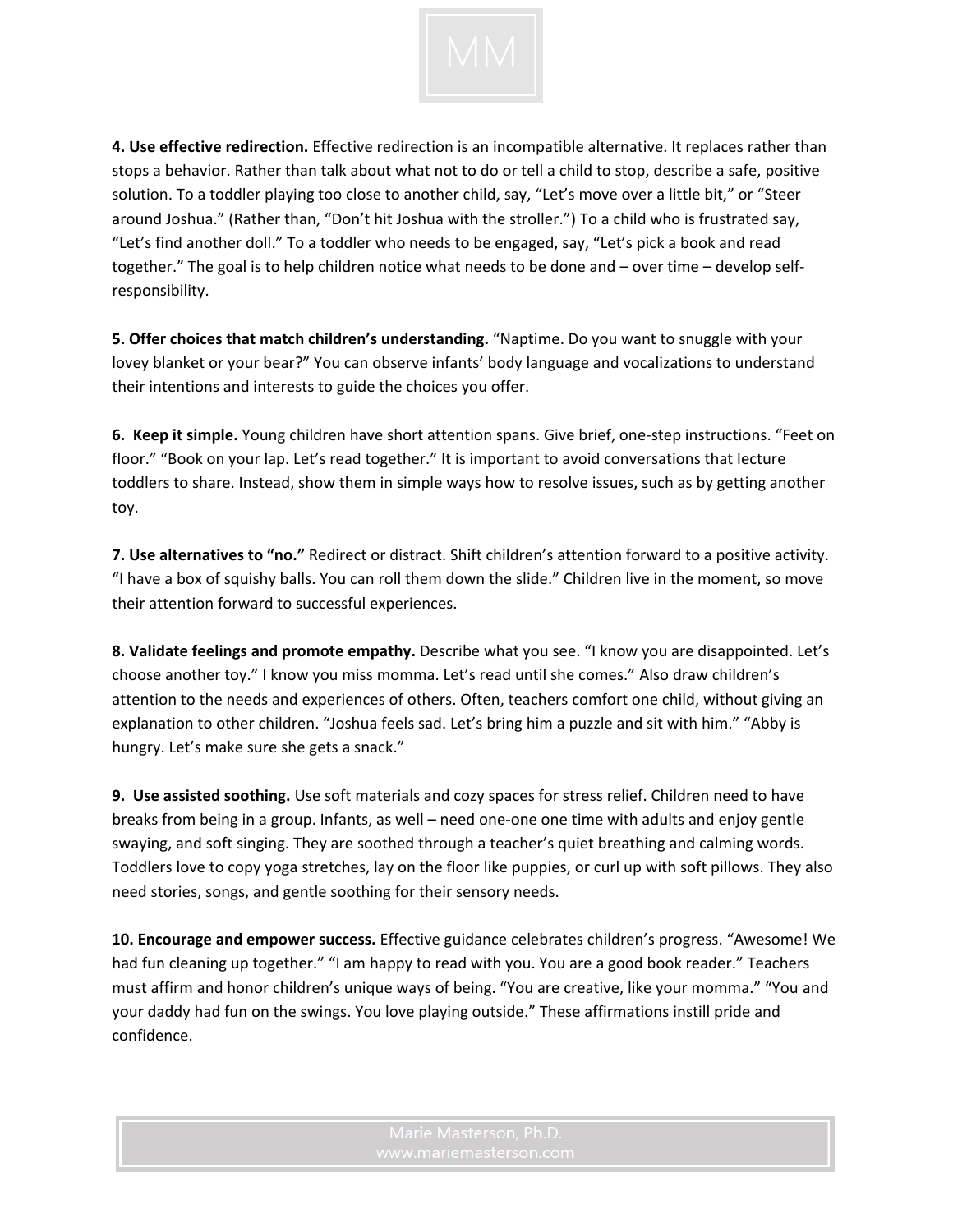

**4. Use effective redirection.** Effective redirection is an incompatible alternative. It replaces rather than stops a behavior. Rather than talk about what not to do or tell a child to stop, describe a safe, positive solution. To a toddler playing too close to another child, say, "Let's move over a little bit," or "Steer around Joshua." (Rather than, "Don't hit Joshua with the stroller.") To a child who is frustrated say, "Let's find another doll." To a toddler who needs to be engaged, say, "Let's pick a book and read together." The goal is to help children notice what needs to be done and – over time – develop selfresponsibility.

**5. Offer choices that match children's understanding.** "Naptime. Do you want to snuggle with your lovey blanket or your bear?" You can observe infants' body language and vocalizations to understand their intentions and interests to guide the choices you offer.

**6. Keep it simple.** Young children have short attention spans. Give brief, one-step instructions. "Feet on floor." "Book on your lap. Let's read together." It is important to avoid conversations that lecture toddlers to share. Instead, show them in simple ways how to resolve issues, such as by getting another toy.

**7. Use alternatives to "no."** Redirect or distract. Shift children's attention forward to a positive activity. "I have a box of squishy balls. You can roll them down the slide." Children live in the moment, so move their attention forward to successful experiences.

**8. Validate feelings and promote empathy.** Describe what you see. "I know you are disappointed. Let's choose another toy." I know you miss momma. Let's read until she comes." Also draw children's attention to the needs and experiences of others. Often, teachers comfort one child, without giving an explanation to other children. "Joshua feels sad. Let's bring him a puzzle and sit with him." "Abby is hungry. Let's make sure she gets a snack."

**9. Use assisted soothing.** Use soft materials and cozy spaces for stress relief. Children need to have breaks from being in a group. Infants, as well – need one-one one time with adults and enjoy gentle swaying, and soft singing. They are soothed through a teacher's quiet breathing and calming words. Toddlers love to copy yoga stretches, lay on the floor like puppies, or curl up with soft pillows. They also need stories, songs, and gentle soothing for their sensory needs.

**10. Encourage and empower success.** Effective guidance celebrates children's progress. "Awesome! We had fun cleaning up together." "I am happy to read with you. You are a good book reader." Teachers must affirm and honor children's unique ways of being. "You are creative, like your momma." "You and your daddy had fun on the swings. You love playing outside." These affirmations instill pride and confidence.